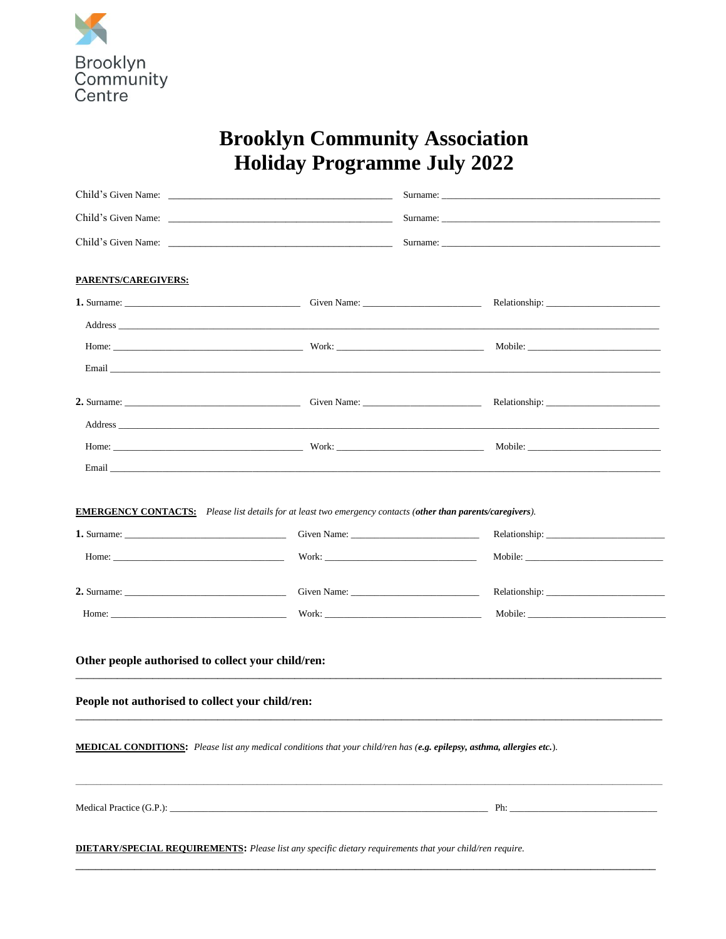

## **Brooklyn Community Association** Holiday Programme July 2022

|                                                                                                                                                                                                                                                                                                                                                                                                                                        |                                                                                                                                                                                                                                |                                                                                                                                                                                                                                | Surname:           |  |
|----------------------------------------------------------------------------------------------------------------------------------------------------------------------------------------------------------------------------------------------------------------------------------------------------------------------------------------------------------------------------------------------------------------------------------------|--------------------------------------------------------------------------------------------------------------------------------------------------------------------------------------------------------------------------------|--------------------------------------------------------------------------------------------------------------------------------------------------------------------------------------------------------------------------------|--------------------|--|
| <b>PARENTS/CAREGIVERS:</b>                                                                                                                                                                                                                                                                                                                                                                                                             |                                                                                                                                                                                                                                |                                                                                                                                                                                                                                |                    |  |
|                                                                                                                                                                                                                                                                                                                                                                                                                                        |                                                                                                                                                                                                                                |                                                                                                                                                                                                                                |                    |  |
|                                                                                                                                                                                                                                                                                                                                                                                                                                        |                                                                                                                                                                                                                                |                                                                                                                                                                                                                                |                    |  |
|                                                                                                                                                                                                                                                                                                                                                                                                                                        | Home: Mobile: More Mobile: Mobile: Mobile: Mobile: Mobile: Mobile: Mobile: Mobile: Mobile: Mobile: Mobile: Mobile: Mobile: Mobile: Mobile: Mobile: Mobile: Mobile: Mobile: Mobile: Mobile: Mobile: Mobile: Mobile: Mobile: Mob |                                                                                                                                                                                                                                |                    |  |
|                                                                                                                                                                                                                                                                                                                                                                                                                                        |                                                                                                                                                                                                                                |                                                                                                                                                                                                                                |                    |  |
|                                                                                                                                                                                                                                                                                                                                                                                                                                        |                                                                                                                                                                                                                                |                                                                                                                                                                                                                                |                    |  |
|                                                                                                                                                                                                                                                                                                                                                                                                                                        |                                                                                                                                                                                                                                |                                                                                                                                                                                                                                |                    |  |
|                                                                                                                                                                                                                                                                                                                                                                                                                                        |                                                                                                                                                                                                                                |                                                                                                                                                                                                                                |                    |  |
|                                                                                                                                                                                                                                                                                                                                                                                                                                        |                                                                                                                                                                                                                                |                                                                                                                                                                                                                                |                    |  |
| <b>1.</b> Surname: $\qquad \qquad$<br>Home: $\qquad \qquad$ $\qquad$ $\qquad$ $\qquad$ $\qquad$ $\qquad$ $\qquad$ $\qquad$ $\qquad$ $\qquad$ $\qquad$ $\qquad$ $\qquad$ $\qquad$ $\qquad$ $\qquad$ $\qquad$ $\qquad$ $\qquad$ $\qquad$ $\qquad$ $\qquad$ $\qquad$ $\qquad$ $\qquad$ $\qquad$ $\qquad$ $\qquad$ $\qquad$ $\qquad$ $\qquad$ $\qquad$ $\qquad$ $\qquad$ $\qquad$ $\$<br>2. Surname: $\frac{1}{2}$ Surname:<br>Home: Work: |                                                                                                                                                                                                                                | Given Name: Campbell and Contact Contact Contact Contact Contact Contact Contact Contact Contact Contact Contact Contact Contact Contact Contact Contact Contact Contact Contact Contact Contact Contact Contact Contact Conta | Relationship: 2000 |  |
| Other people authorised to collect your child/ren:<br>People not authorised to collect your child/ren:                                                                                                                                                                                                                                                                                                                                 |                                                                                                                                                                                                                                |                                                                                                                                                                                                                                |                    |  |
| MEDICAL CONDITIONS: Please list any medical conditions that your child/ren has (e.g. epilepsy, asthma, allergies etc.).                                                                                                                                                                                                                                                                                                                |                                                                                                                                                                                                                                |                                                                                                                                                                                                                                |                    |  |
|                                                                                                                                                                                                                                                                                                                                                                                                                                        |                                                                                                                                                                                                                                |                                                                                                                                                                                                                                |                    |  |
| <b>DIETARY/SPECIAL REQUIREMENTS:</b> Please list any specific dietary requirements that your child/ren require.                                                                                                                                                                                                                                                                                                                        |                                                                                                                                                                                                                                |                                                                                                                                                                                                                                |                    |  |